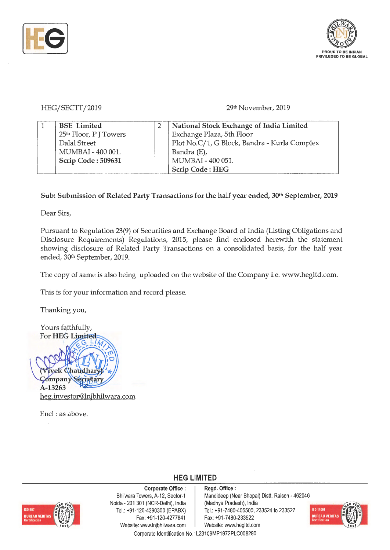



## HEG/SECTT/2019

## 29th November, 2019

| <b>BSE</b> Limited                 | National Stock Exchange of India Limited     |
|------------------------------------|----------------------------------------------|
| 25 <sup>th</sup> Floor, P J Towers | Exchange Plaza, 5th Floor                    |
| Dalal Street                       | Plot No.C/1, G Block, Bandra - Kurla Complex |
| MUMBAI - 400 001.                  | Bandra (E),                                  |
| Scrip Code: 509631                 | MUMBAI - 400 051.                            |
|                                    | <b>Scrip Code: HEG</b>                       |

## Sub: Submission of Related Party Transactions for the half year ended, 30<sup>th</sup> September, 2019

Dear Sirs,

Pursuant to Regulation 23(9) of Securities and Exchange Board of India (Listing Obligations and Disclosure Requirements) Regulations, 2015, please find enclosed herewith the statement showing disclosure of Related Party Transactions on a consolidated basis, for the half year ended, 30<sup>th</sup> September, 2019.

The copy of same is also being uploaded on the website of the Company i.e. www.hegltd.com.

This is for your information and record please.

Thanking you,



Encl : as above.



**Corporate Office** : Bhilwara Towers, A-12, Sector-1 Naida - 201 301 (NCR-Delhi), India Tel.: +91 -120-4390300 (EPABX) Fax: +91 -120-4277841 Website: www.lnjbhilwara.com | Website: www.hegltd.com

**Regd. Office** : Mandideep (Near Bhopal) Distt. Raisen - 462046 (Madhya Pradesh), India Tel.: +91-7480-405500, 233524 to 233527 Fax: +91 -7480-233522



Corporate Identification No.: L23109MP1972PLC008290

**HEG LIMITED**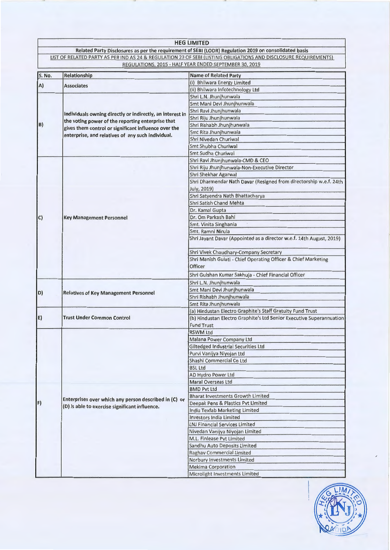|        |                                                                                                                                                                        | <b>HEG LIMITED</b>                                                                                               |
|--------|------------------------------------------------------------------------------------------------------------------------------------------------------------------------|------------------------------------------------------------------------------------------------------------------|
|        |                                                                                                                                                                        | Related Party Disclosures as per the requirement of SEBI (LODR) Regulation 2019 on consolidated basis            |
|        |                                                                                                                                                                        | LIST OF RELATED PARTY AS PER IND AS 24 & REGULATION 23 OF SEBI (LISTING OBLIGATIONS AND DISCLOSURE REQUIREMENTS) |
|        |                                                                                                                                                                        | REGULATIONS, 2015 - HALF YEAR ENDED SEPTEMBER 30, 2019                                                           |
| S. No. | Relationship                                                                                                                                                           | <b>Name of Related Party</b>                                                                                     |
|        |                                                                                                                                                                        | (i) Bhilwara Energy Limited                                                                                      |
| A)     | <b>Associates</b>                                                                                                                                                      | (ii) Bhilwara Infotechnology Ltd                                                                                 |
|        |                                                                                                                                                                        | Shri L.N. Jhunjhunwala                                                                                           |
|        | Individuals owning directly or indirectly, an interest in<br>the voting power of the reporting enterprise that<br>gives them control or significant influence over the | Smt Mani Devi Jhunjhunwala                                                                                       |
|        |                                                                                                                                                                        | Shri Ravi Jhunjhunwala                                                                                           |
|        |                                                                                                                                                                        | Shri Riju Jhunjhunwala                                                                                           |
| B)     |                                                                                                                                                                        | Shri Rishabh Jhunjhunwala                                                                                        |
|        |                                                                                                                                                                        | Smt Rita Jhunjhunwala                                                                                            |
|        | enterprise, and relatives of any such individual.                                                                                                                      | Shri Nivedan Churiwal                                                                                            |
|        |                                                                                                                                                                        | Smt Shubha Churiwal                                                                                              |
|        |                                                                                                                                                                        | Smt Sudha Churiwal                                                                                               |
|        |                                                                                                                                                                        | Shri Ravi Jhunjhunwala-CMD & CEO                                                                                 |
|        |                                                                                                                                                                        | Shri Riju Jhunjhunwala-Non-Executive Director                                                                    |
|        |                                                                                                                                                                        | Shri Shekhar Agarwal                                                                                             |
|        |                                                                                                                                                                        | Shri Dharmendar Nath Davar (Resigned from directorship w.e.f. 24th                                               |
|        |                                                                                                                                                                        | July, 2019)                                                                                                      |
|        |                                                                                                                                                                        | Shri Satyendra Nath Bhattacharya                                                                                 |
|        |                                                                                                                                                                        | Shri Satish Chand Mehta                                                                                          |
|        |                                                                                                                                                                        | Dr. Kamal Gupta                                                                                                  |
| C      | <b>Key Management Personnel</b>                                                                                                                                        | Dr. Om Parkash Bahl                                                                                              |
|        |                                                                                                                                                                        | Smt. Vinita Singhania                                                                                            |
|        |                                                                                                                                                                        | Smt. Ramni Nirula                                                                                                |
|        |                                                                                                                                                                        | Shri Jayant Davar (Appointed as a director w.e.f. 14th August, 2019)                                             |
|        |                                                                                                                                                                        |                                                                                                                  |
|        |                                                                                                                                                                        | Shri Vivek Chaudhary-Company Secretary                                                                           |
|        |                                                                                                                                                                        | Shri Manish Gulati - Chief Operating Officer & Chief Marketing                                                   |
|        |                                                                                                                                                                        | <b>Officer</b>                                                                                                   |
|        |                                                                                                                                                                        | Shri Gulshan Kumar Sakhuja - Chief Financial Officer                                                             |
|        |                                                                                                                                                                        | Shri L.N. Jhunjhunwala                                                                                           |
|        |                                                                                                                                                                        | Smt Mani Devi Jhunjhunwala                                                                                       |
| D)     | <b>Relatives of Key Management Personnel</b>                                                                                                                           | Shri Rishabh Jhunjhunwala                                                                                        |
|        |                                                                                                                                                                        | Smt Rita Jhunjhunwala                                                                                            |
|        | <b>Trust Under Common Control</b>                                                                                                                                      | (a) Hindustan Electro Graphite's Staff Gratuity Fund Trust                                                       |
| E)     |                                                                                                                                                                        | (b) Hindustan Electro Graphite's Ltd Senior Executive Superannuation                                             |
|        |                                                                                                                                                                        | <b>Fund Trust</b>                                                                                                |
|        |                                                                                                                                                                        | <b>RSWM Ltd</b>                                                                                                  |
|        |                                                                                                                                                                        | Malana Power Company Ltd                                                                                         |
|        |                                                                                                                                                                        | Giltedged Industrial Securities Ltd                                                                              |
|        | Enterprises over which any person described in (C) or<br>(D) is able to exercise significant influence.                                                                | Purvi Vanijya Niyojan Ltd                                                                                        |
|        |                                                                                                                                                                        | Shashi Commercial Co Ltd                                                                                         |
|        |                                                                                                                                                                        | <b>BSL Ltd</b>                                                                                                   |
|        |                                                                                                                                                                        | AD Hydro Power Ltd                                                                                               |
|        |                                                                                                                                                                        | <b>Maral Overseas Ltd</b>                                                                                        |
|        |                                                                                                                                                                        | <b>BMD Pvt Ltd</b>                                                                                               |
|        |                                                                                                                                                                        | <b>Bharat Investments Growth Limited</b>                                                                         |
| F)     |                                                                                                                                                                        | Deepak Pens & Plastics Pvt Limited                                                                               |
|        |                                                                                                                                                                        | India Texfab Marketing Limited                                                                                   |
|        |                                                                                                                                                                        | <b>Investors India Limited</b>                                                                                   |
|        |                                                                                                                                                                        | <b>LNJ Financial Services Limited</b>                                                                            |
|        |                                                                                                                                                                        | Nivedan Vanijya Niyojan Limited                                                                                  |
|        |                                                                                                                                                                        | M.L. Finlease Pvt Limited                                                                                        |
|        |                                                                                                                                                                        | Sandhu Auto Deposits Limited                                                                                     |
|        |                                                                                                                                                                        | Raghav Commercial Limited                                                                                        |
|        |                                                                                                                                                                        | Norbury Investments Limited                                                                                      |
|        |                                                                                                                                                                        | <b>Mekima Corporation</b>                                                                                        |
|        |                                                                                                                                                                        | Microlight Investments Limited                                                                                   |